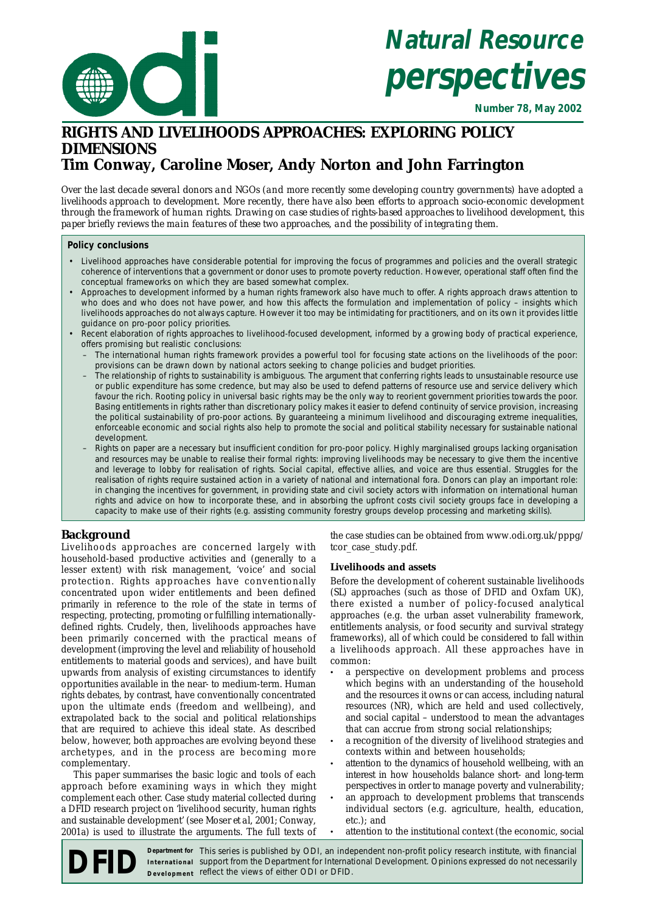

# **Natural Resource perspectives**

**Number 78, May 2002**

# **RIGHTS AND LIVELIHOODS APPROACHES: EXPLORING POLICY DIMENSIONS Tim Conway, Caroline Moser, Andy Norton and John Farrington**

*Over the last decade several donors and NGOs (and more recently some developing country governments) have adopted a livelihoods approach to development. More recently, there have also been efforts to approach socio-economic development through the framework of human rights. Drawing on case studies of rights-based approaches to livelihood development, this paper briefly reviews the main features of these two approaches, and the possibility of integrating them.*

# **Policy conclusions**

- Livelihood approaches have considerable potential for improving the focus of programmes and policies and the overall strategic coherence of interventions that a government or donor uses to promote poverty reduction. However, operational staff often find the conceptual frameworks on which they are based somewhat complex.
- Approaches to development informed by a human rights framework also have much to offer. A rights approach draws attention to who does and who does not have power, and how this affects the formulation and implementation of policy – insights which livelihoods approaches do not always capture. However it too may be intimidating for practitioners, and on its own it provides little guidance on pro-poor policy priorities.
- Recent elaboration of rights approaches to livelihood-focused development, informed by a growing body of practical experience, offers promising but realistic conclusions:
	- The international human rights framework provides a powerful tool for focusing state actions on the livelihoods of the poor: provisions can be drawn down by national actors seeking to change policies and budget priorities.
	- The relationship of rights to sustainability is ambiguous. The argument that conferring rights leads to unsustainable resource use or public expenditure has some credence, but may also be used to defend patterns of resource use and service delivery which favour the rich. Rooting policy in universal basic rights may be the only way to reorient government priorities towards the poor. Basing entitlements in rights rather than discretionary policy makes it easier to defend continuity of service provision, increasing the political sustainability of pro-poor actions. By guaranteeing a minimum livelihood and discouraging extreme inequalities, enforceable economic and social rights also help to promote the social and political stability necessary for sustainable national development.
	- Rights on paper are a necessary but insufficient condition for pro-poor policy. Highly marginalised groups lacking organisation and resources may be unable to realise their formal rights: improving livelihoods may be necessary to give them the incentive and leverage to lobby for realisation of rights. Social capital, effective allies, and voice are thus essential. Struggles for the realisation of rights require sustained action in a variety of national and international fora. Donors can play an important role: in changing the incentives for government, in providing state and civil society actors with information on international human rights and advice on how to incorporate these, and in absorbing the upfront costs civil society groups face in developing a capacity to make use of their rights (e.g. assisting community forestry groups develop processing and marketing skills).

# **Background**

Livelihoods approaches are concerned largely with household-based productive activities and (generally to a lesser extent) with risk management, 'voice' and social protection. Rights approaches have conventionally concentrated upon wider entitlements and been defined primarily in reference to the role of the state in terms of respecting, protecting, promoting or fulfilling internationallydefined rights. Crudely, then, livelihoods approaches have been primarily concerned with the practical means of development (improving the level and reliability of household entitlements to material goods and services), and have built upwards from analysis of existing circumstances to identify opportunities available in the near- to medium-term. Human rights debates, by contrast, have conventionally concentrated upon the ultimate ends (freedom and wellbeing), and extrapolated back to the social and political relationships that are required to achieve this ideal state. As described below, however, both approaches are evolving beyond these archetypes, and in the process are becoming more complementary.

This paper summarises the basic logic and tools of each approach before examining ways in which they might complement each other. Case study material collected during a DFID research project on 'livelihood security, human rights and sustainable development' (see Moser *et al,* 2001; Conway, 2001a) is used to illustrate the arguments. The full texts of

the case studies can be obtained from www.odi.org.uk/pppg/ tcor\_case\_study.pdf.

# **Livelihoods and assets**

Before the development of coherent sustainable livelihoods (SL) approaches (such as those of DFID and Oxfam UK), there existed a number of policy-focused analytical approaches (e.g. the urban asset vulnerability framework, entitlements analysis, or food security and survival strategy frameworks), all of which could be considered to fall within a livelihoods approach. All these approaches have in common:

- a perspective on development problems and process which begins with an understanding of the household and the resources it owns or can access, including natural resources (NR), which are held and used collectively, and social capital – understood to mean the advantages that can accrue from strong social relationships;
- a recognition of the diversity of livelihood strategies and contexts within and between households;
- attention to the dynamics of household wellbeing, with an interest in how households balance short- and long-term perspectives in order to manage poverty and vulnerability;
- an approach to development problems that transcends individual sectors (e.g. agriculture, health, education, etc.); and
- attention to the institutional context (the economic, social

**DEFIDER THE SERVITE SERVITE SERVITE SERVITE SERVITE SERVITE SERVITE SERVITE SERVITE SERVITE SUPPORT IN THE PRESSION IN THE DEPARTMENT OF INTERNATIONAL Development. Opinions expressed do not necessarily bevelopment reflect** support from the Department for International Development. Opinions expressed do not necessarily **IDEID** Department for This series is published by ODI, an inde<br>Development reflect the views of either ODI or DFID. Department for This series is published by ODI, an independent non-profit policy research institute, with financial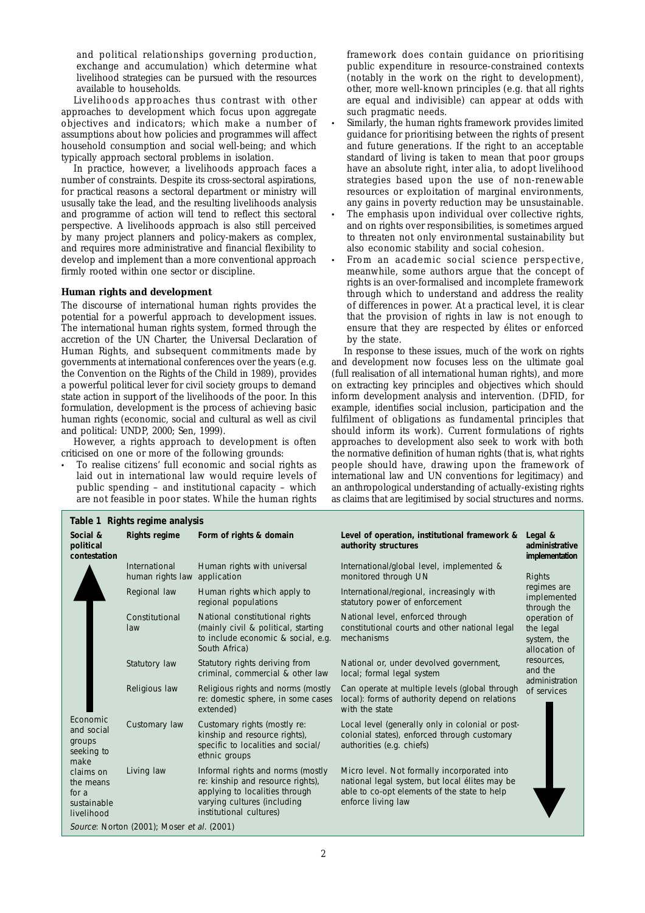and political relationships governing production, exchange and accumulation) which determine what livelihood strategies can be pursued with the resources available to households.

Livelihoods approaches thus contrast with other approaches to development which focus upon aggregate objectives and indicators; which make a number of assumptions about how policies and programmes will affect household consumption and social well-being; and which typically approach sectoral problems in isolation.

In practice, however, a livelihoods approach faces a number of constraints. Despite its cross-sectoral aspirations, for practical reasons a sectoral department or ministry will ususally take the lead, and the resulting livelihoods analysis and programme of action will tend to reflect this sectoral perspective. A livelihoods approach is also still perceived by many project planners and policy-makers as complex, and requires more administrative and financial flexibility to develop and implement than a more conventional approach firmly rooted within one sector or discipline.

#### **Human rights and development**

**Table 1 Rights regime analysis**

The discourse of international human rights provides the potential for a powerful approach to development issues. The international human rights system, formed through the accretion of the UN Charter, the Universal Declaration of Human Rights, and subsequent commitments made by governments at international conferences over the years (e.g. the Convention on the Rights of the Child in 1989), provides a powerful political lever for civil society groups to demand state action in support of the livelihoods of the poor. In this formulation, development is the process of achieving basic human rights (economic, social and cultural as well as civil and political: UNDP, 2000; Sen, 1999).

However, a rights approach to development is often criticised on one or more of the following grounds:

• To realise citizens' full economic and social rights as laid out in international law would require levels of public spending – and institutional capacity – which are not feasible in poor states. While the human rights framework does contain guidance on prioritising public expenditure in resource-constrained contexts (notably in the work on the right to development), other, more well-known principles (e.g. that all rights are equal and indivisible) can appear at odds with such pragmatic needs.

- Similarly, the human rights framework provides limited guidance for prioritising between the rights of present and future generations. If the right to an acceptable standard of living is taken to mean that poor groups have an absolute right, *inter alia*, to adopt livelihood strategies based upon the use of non-renewable resources or exploitation of marginal environments, any gains in poverty reduction may be unsustainable.
- The emphasis upon individual over collective rights, and on rights over responsibilities, is sometimes argued to threaten not only environmental sustainability but also economic stability and social cohesion.
- From an academic social science perspective, meanwhile, some authors argue that the concept of rights is an over-formalised and incomplete framework through which to understand and address the reality of differences in power. At a practical level, it is clear that the provision of rights in law is not enough to ensure that they are respected by élites or enforced by the state.

In response to these issues, much of the work on rights and development now focuses less on the ultimate goal (full realisation of all international human rights), and more on extracting key principles and objectives which should inform development analysis and intervention. (DFID, for example, identifies social inclusion, participation and the fulfilment of obligations as fundamental principles that should inform its work). Current formulations of rights approaches to development also seek to work with both the normative definition of human rights (that is, what rights people *should* have, drawing upon the framework of international law and UN conventions for legitimacy) and an anthropological understanding of actually-existing rights as claims that are legitimised by social structures and norms.

| Social &<br>political<br>contestation                                                                                  | <b>Rights regime</b>                          | Form of rights & domain                                                                                                                                            | Level of operation, institutional framework &<br>authority structures                                                                                               | Legal &<br>administrative<br>implementation                                                                                                                                |
|------------------------------------------------------------------------------------------------------------------------|-----------------------------------------------|--------------------------------------------------------------------------------------------------------------------------------------------------------------------|---------------------------------------------------------------------------------------------------------------------------------------------------------------------|----------------------------------------------------------------------------------------------------------------------------------------------------------------------------|
| Economic<br>and social<br>groups<br>seeking to<br>make<br>claims on<br>the means<br>for a<br>sustainable<br>livelihood | International<br>human rights law application | Human rights with universal                                                                                                                                        | International/global level, implemented &<br>monitored through UN                                                                                                   | Rights<br>regimes are<br>implemented<br>through the<br>operation of<br>the legal<br>system, the<br>allocation of<br>resources,<br>and the<br>administration<br>of services |
|                                                                                                                        | Regional law                                  | Human rights which apply to<br>regional populations                                                                                                                | International/regional, increasingly with<br>statutory power of enforcement                                                                                         |                                                                                                                                                                            |
|                                                                                                                        | Constitutional<br>law                         | National constitutional rights<br>(mainly civil & political, starting<br>to include economic & social, e.g.<br>South Africa)                                       | National level, enforced through<br>constitutional courts and other national legal<br>mechanisms                                                                    |                                                                                                                                                                            |
|                                                                                                                        | Statutory law                                 | Statutory rights deriving from<br>criminal, commercial & other law                                                                                                 | National or, under devolved government,<br>local; formal legal system                                                                                               |                                                                                                                                                                            |
|                                                                                                                        | Religious law                                 | Religious rights and norms (mostly<br>re: domestic sphere, in some cases<br>extended)                                                                              | Can operate at multiple levels (global through<br>local): forms of authority depend on relations<br>with the state                                                  |                                                                                                                                                                            |
|                                                                                                                        | Customary law                                 | Customary rights (mostly re:<br>kinship and resource rights),<br>specific to localities and social/<br>ethnic groups                                               | Local level (generally only in colonial or post-<br>colonial states), enforced through customary<br>authorities (e.g. chiefs)                                       |                                                                                                                                                                            |
|                                                                                                                        | Living law                                    | Informal rights and norms (mostly<br>re: kinship and resource rights),<br>applying to localities through<br>varying cultures (including<br>institutional cultures) | Micro level. Not formally incorporated into<br>national legal system, but local élites may be<br>able to co-opt elements of the state to help<br>enforce living law |                                                                                                                                                                            |
| Source: Norton (2001); Moser et al. (2001)                                                                             |                                               |                                                                                                                                                                    |                                                                                                                                                                     |                                                                                                                                                                            |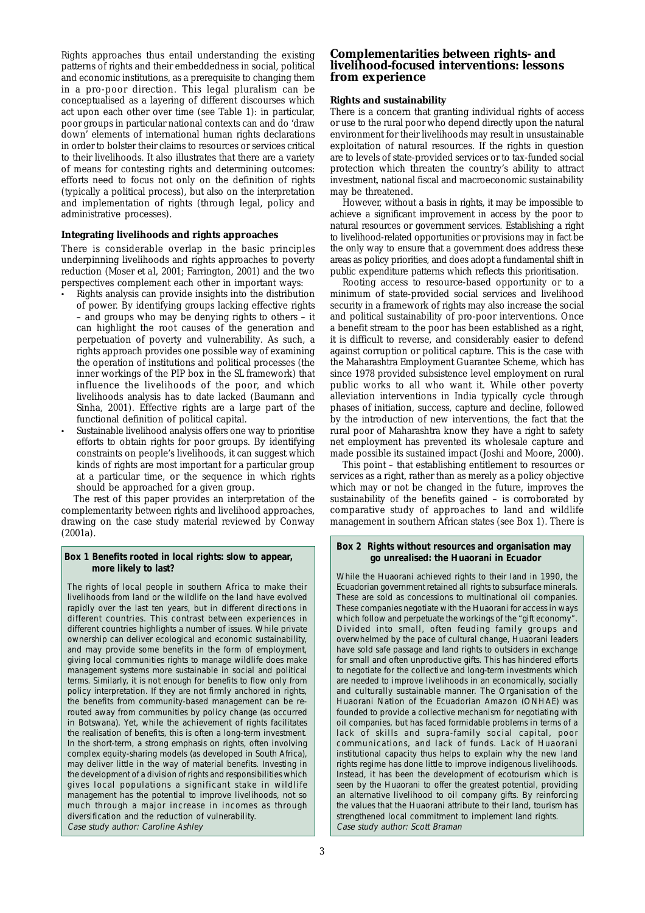Rights approaches thus entail understanding the existing patterns of rights and their embeddedness in social, political and economic institutions, as a prerequisite to changing them in a pro-poor direction. This legal pluralism can be conceptualised as a layering of different discourses which act upon each other over time (see Table 1): in particular, poor groups in particular national contexts can and do 'draw down' elements of international human rights declarations in order to bolster their claims to resources or services critical to their livelihoods. It also illustrates that there are a variety of means for contesting rights and determining outcomes: efforts need to focus not only on the definition of rights (typically a political process), but also on the interpretation and implementation of rights (through legal, policy and administrative processes).

# **Integrating livelihoods and rights approaches**

There is considerable overlap in the basic principles underpinning livelihoods and rights approaches to poverty reduction (Moser *et al*, 2001; Farrington, 2001) and the two perspectives complement each other in important ways:

- Rights analysis can provide insights into the distribution of power. By identifying groups lacking effective rights – and groups who may be denying rights to others – it can highlight the root causes of the generation and perpetuation of poverty and vulnerability. As such, a rights approach provides one possible way of examining the operation of institutions and political processes (the inner workings of the PIP box in the SL framework) that influence the livelihoods of the poor, and which livelihoods analysis has to date lacked (Baumann and Sinha, 2001). Effective rights are a large part of the functional definition of political capital.
- Sustainable livelihood analysis offers one way to prioritise efforts to obtain rights for poor groups. By identifying constraints on people's livelihoods, it can suggest which kinds of rights are most important for a particular group at a particular time, or the sequence in which rights should be approached for a given group.

The rest of this paper provides an interpretation of the complementarity between rights and livelihood approaches, drawing on the case study material reviewed by Conway  $(2001a)$ 

#### **Box 1 Benefits rooted in local rights: slow to appear, more likely to last?**

The rights of local people in southern Africa to make their livelihoods from land or the wildlife on the land have evolved rapidly over the last ten years, but in different directions in different countries. This contrast between experiences in different countries highlights a number of issues. While private ownership can deliver ecological and economic sustainability, and may provide some benefits in the form of employment, giving local communities rights to manage wildlife does make management systems more sustainable in social and political terms. Similarly, it is not enough for benefits to flow only from policy interpretation. If they are not firmly anchored in rights, the benefits from community-based management can be rerouted away from communities by policy change (as occurred in Botswana). Yet, while the achievement of rights facilitates the realisation of benefits, this is often a long-term investment. In the short-term, a strong emphasis on rights, often involving complex equity-sharing models (as developed in South Africa), may deliver little in the way of material benefits. Investing in the development of a division of rights and responsibilities which gives local populations a significant stake in wildlife management has the potential to improve livelihoods, not so much through a major increase in incomes as through diversification and the reduction of vulnerability. Case study author: Caroline Ashley

# **Complementarities between rights- and livelihood-focused interventions: lessons from experience**

#### **Rights and sustainability**

There is a concern that granting individual rights of access or use to the rural poor who depend directly upon the natural environment for their livelihoods may result in unsustainable exploitation of natural resources. If the rights in question are to levels of state-provided services or to tax-funded social protection which threaten the country's ability to attract investment, national fiscal and macroeconomic sustainability may be threatened.

However, without a basis in rights, it may be impossible to achieve a significant improvement in access by the poor to natural resources or government services. Establishing a right to livelihood-related opportunities or provisions may in fact be the *only* way to ensure that a government does address these areas as policy priorities, and does adopt a fundamental shift in public expenditure patterns which reflects this prioritisation.

Rooting access to resource-based opportunity or to a minimum of state-provided social services and livelihood security in a framework of rights may also increase the social and political sustainability of pro-poor interventions. Once a benefit stream to the poor has been established as a right, it is difficult to reverse, and considerably easier to defend against corruption or political capture. This is the case with the Maharashtra Employment Guarantee Scheme, which has since 1978 provided subsistence level employment on rural public works to all who want it. While other poverty alleviation interventions in India typically cycle through phases of initiation, success, capture and decline, followed by the introduction of new interventions, the fact that the rural poor of Maharashtra know they have a right to safety net employment has prevented its wholesale capture and made possible its sustained impact (Joshi and Moore, 2000).

This point – that establishing entitlement to resources or services as a *right,* rather than as merely as a policy objective which may or not be changed in the future, improves the sustainability of the benefits gained – is corroborated by comparative study of approaches to land and wildlife management in southern African states (see Box 1). There is

#### **Box 2 Rights without resources and organisation may go unrealised: the Huaorani in Ecuador**

While the Huaorani achieved rights to their land in 1990, the Ecuadorian government retained all rights to subsurface minerals. These are sold as concessions to multinational oil companies. These companies negotiate with the Huaorani for access in ways which follow and perpetuate the workings of the "gift economy" Divided into small, often feuding family groups and overwhelmed by the pace of cultural change, Huaorani leaders have sold safe passage and land rights to outsiders in exchange for small and often unproductive gifts. This has hindered efforts to negotiate for the collective and long-term investments which are needed to improve livelihoods in an economically, socially and culturally sustainable manner. The Organisation of the Huaorani Nation of the Ecuadorian Amazon (ONHAE) was founded to provide a collective mechanism for negotiating with oil companies, but has faced formidable problems in terms of a lack of skills and supra-family social capital, poor communications, and lack of funds. Lack of Huaorani institutional capacity thus helps to explain why the new land rights regime has done little to improve indigenous livelihoods. Instead, it has been the development of ecotourism which is seen by the Huaorani to offer the greatest potential, providing an alternative livelihood to oil company gifts. By reinforcing the values that the Huaorani attribute to their land, tourism has strengthened local commitment to implement land rights. Case study author: Scott Braman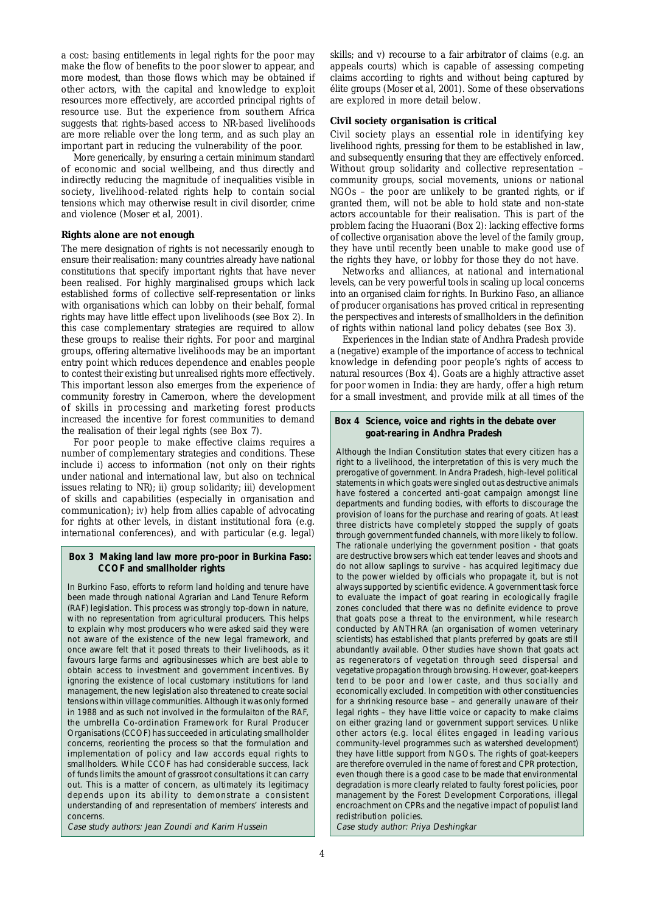a cost: basing entitlements in legal rights for the poor may make the flow of benefits to the poor slower to appear, and more modest, than those flows which may be obtained if other actors, with the capital and knowledge to exploit resources more effectively, are accorded principal rights of resource use. But the experience from southern Africa suggests that rights-based access to NR-based livelihoods are more reliable over the long term, and as such play an important part in reducing the vulnerability of the poor.

More generically, by ensuring a certain minimum standard of economic and social wellbeing, and thus directly and indirectly reducing the magnitude of inequalities visible in society, livelihood-related rights help to contain social tensions which may otherwise result in civil disorder, crime and violence (Moser *et al*, 2001).

#### **Rights alone are not enough**

The mere designation of rights is not necessarily enough to ensure their realisation: many countries already have national constitutions that specify important rights that have never been realised. For highly marginalised groups which lack established forms of collective self-representation or links with organisations which can lobby on their behalf, formal rights may have little effect upon livelihoods (see Box 2). In this case complementary strategies are required to allow these groups to realise their rights. For poor and marginal groups, offering alternative livelihoods may be an important entry point which reduces dependence and enables people to contest their existing but unrealised rights more effectively. This important lesson also emerges from the experience of community forestry in Cameroon, where the development of skills in processing and marketing forest products increased the incentive for forest communities to demand the realisation of their legal rights (see Box 7).

For poor people to make effective claims requires a number of complementary strategies and conditions. These include i) access to information (not only on their rights under national and international law, but also on technical issues relating to NR); ii) group solidarity; iii) development of skills and capabilities (especially in organisation and communication); iv) help from allies capable of advocating for rights at other levels, in distant institutional fora (e.g. international conferences), and with particular (e.g. legal)

#### **Box 3 Making land law more pro-poor in Burkina Faso: CCOF and smallholder rights**

In Burkino Faso, efforts to reform land holding and tenure have been made through national Agrarian and Land Tenure Reform (RAF) legislation. This process was strongly top-down in nature, with no representation from agricultural producers. This helps to explain why most producers who were asked said they were not aware of the existence of the new legal framework, and once aware felt that it posed threats to their livelihoods, as it favours large farms and agribusinesses which are best able to obtain access to investment and government incentives. By ignoring the existence of local customary institutions for land management, the new legislation also threatened to create social tensions within village communities. Although it was only formed in 1988 and as such not involved in the formulaiton of the RAF, the umbrella Co-ordination Framework for Rural Producer Organisations (CCOF) has succeeded in articulating smallholder concerns, reorienting the process so that the formulation and implementation of policy and law accords equal rights to smallholders. While CCOF has had considerable success, lack of funds limits the amount of grassroot consultations it can carry out. This is a matter of concern, as ultimately its legitimacy depends upon its ability to demonstrate a consistent understanding of and representation of members' interests and concerns.

Case study authors: Jean Zoundi and Karim Hussein

skills; and v) recourse to a fair arbitrator of claims (e.g. an appeals courts) which is capable of assessing competing claims according to rights and without being captured by élite groups (Moser *et al*, 2001). Some of these observations are explored in more detail below.

#### **Civil society organisation is critical**

Civil society plays an essential role in identifying key livelihood rights, pressing for them to be established in law, and subsequently ensuring that they are effectively enforced. Without group solidarity and collective representation – community groups, social movements, unions or national NGOs – the poor are unlikely to be granted rights, or if granted them, will not be able to hold state and non-state actors accountable for their realisation. This is part of the problem facing the Huaorani (Box 2): lacking effective forms of collective organisation above the level of the family group, they have until recently been unable to make good use of the rights they have, or lobby for those they do not have.

Networks and alliances, at national and international levels, can be very powerful tools in scaling up local concerns into an organised claim for rights. In Burkino Faso, an alliance of producer organisations has proved critical in representing the perspectives and interests of smallholders in the definition of rights within national land policy debates (see Box 3).

Experiences in the Indian state of Andhra Pradesh provide a (negative) example of the importance of access to technical knowledge in defending poor people's rights of access to natural resources (Box 4). Goats are a highly attractive asset for poor women in India: they are hardy, offer a high return for a small investment, and provide milk at all times of the

# **Box 4 Science, voice and rights in the debate over goat-rearing in Andhra Pradesh**

Although the Indian Constitution states that every citizen has a right to a livelihood, the interpretation of this is very much the prerogative of government. In Andra Pradesh, high-level political statements in which goats were singled out as destructive animals have fostered a concerted anti-goat campaign amongst line departments and funding bodies, with efforts to discourage the provision of loans for the purchase and rearing of goats. At least three districts have completely stopped the supply of goats through government funded channels, with more likely to follow. The rationale underlying the government position - that goats are destructive browsers which eat tender leaves and shoots and do not allow saplings to survive - has acquired legitimacy due to the power wielded by officials who propagate it, but is not always supported by scientific evidence. A government task force to evaluate the impact of goat rearing in ecologically fragile zones concluded that there was no definite evidence to prove that goats pose a threat to the environment, while research conducted by ANTHRA (an organisation of women veterinary scientists) has established that plants preferred by goats are still abundantly available. Other studies have shown that goats act as regenerators of vegetation through seed dispersal and vegetative propagation through browsing. However, goat-keepers tend to be poor and lower caste, and thus socially and economically excluded. In competition with other constituencies for a shrinking resource base – and generally unaware of their legal rights – they have little voice or capacity to make claims on either grazing land or government support services. Unlike other actors (e.g. local élites engaged in leading various community-level programmes such as watershed development) they have little support from NGOs. The rights of goat-keepers are therefore overruled in the name of forest and CPR protection, even though there is a good case to be made that environmental degradation is more clearly related to faulty forest policies, poor management by the Forest Development Corporations, illegal encroachment on CPRs and the negative impact of populist land redistribution policies.

Case study author: Priya Deshingkar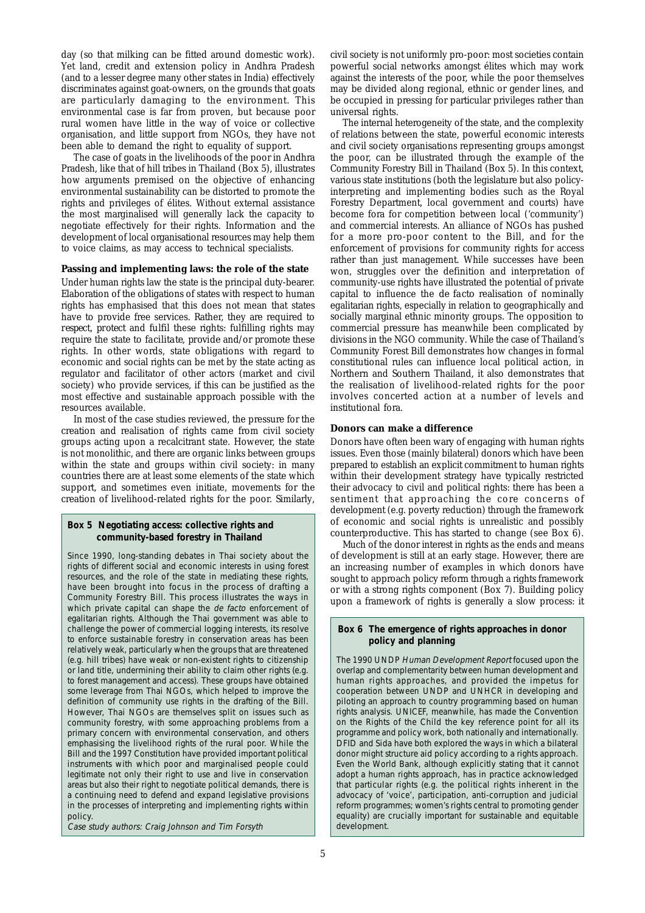day (so that milking can be fitted around domestic work). Yet land, credit and extension policy in Andhra Pradesh (and to a lesser degree many other states in India) effectively discriminates against goat-owners, on the grounds that goats are particularly damaging to the environment. This environmental case is far from proven, but because poor rural women have little in the way of voice or collective organisation, and little support from NGOs, they have not been able to demand the right to equality of support.

The case of goats in the livelihoods of the poor in Andhra Pradesh, like that of hill tribes in Thailand (Box 5), illustrates how arguments premised on the objective of enhancing environmental sustainability can be distorted to promote the rights and privileges of élites. Without external assistance the most marginalised will generally lack the capacity to negotiate effectively for their rights. Information and the development of local organisational resources may help them to voice claims, as may access to technical specialists.

#### **Passing and implementing laws: the role of the state**

Under human rights law the state is the principal duty-bearer. Elaboration of the obligations of states with respect to human rights has emphasised that this does *not* mean that states have to provide free services. Rather, they are required to *respect*, *protect* and *fulfil* these rights: fulfilling rights may require the state to *facilitate*, *provide* and/or *promote* these rights. In other words, state obligations with regard to economic and social rights can be met by the state acting as regulator and facilitator of other actors (market and civil society) who provide services, if this can be justified as the most effective and sustainable approach possible with the resources available.

In most of the case studies reviewed, the pressure for the creation and realisation of rights came from civil society groups acting upon a recalcitrant state. However, the state is not monolithic, and there are organic links between groups within the state and groups within civil society: in many countries there are at least some elements of the state which support, and sometimes even initiate, movements for the creation of livelihood-related rights for the poor. Similarly,

#### **Box 5 Negotiating access: collective rights and community-based forestry in Thailand**

Since 1990, long-standing debates in Thai society about the rights of different social and economic interests in using forest resources, and the role of the state in mediating these rights, have been brought into focus in the process of drafting a Community Forestry Bill. This process illustrates the ways in which private capital can shape the de facto enforcement of egalitarian rights. Although the Thai government was able to challenge the power of commercial logging interests, its resolve to enforce sustainable forestry in conservation areas has been relatively weak, particularly when the groups that are threatened (e.g. hill tribes) have weak or non-existent rights to citizenship or land title, undermining their ability to claim other rights (e.g. to forest management and access). These groups have obtained some leverage from Thai NGOs, which helped to improve the definition of community use rights in the drafting of the Bill. However, Thai NGOs are themselves split on issues such as community forestry, with some approaching problems from a primary concern with environmental conservation, and others emphasising the livelihood rights of the rural poor. While the Bill and the 1997 Constitution have provided important political instruments with which poor and marginalised people could legitimate not only their right to use and live in conservation areas but also their right to negotiate political demands, there is a continuing need to defend and expand legislative provisions in the processes of interpreting and implementing rights within policy.

Case study authors: Craig Johnson and Tim Forsyth

civil society is not uniformly pro-poor: most societies contain powerful social networks amongst élites which may work against the interests of the poor, while the poor themselves may be divided along regional, ethnic or gender lines, and be occupied in pressing for particular privileges rather than universal rights.

The internal heterogeneity of the state, and the complexity of relations between the state, powerful economic interests and civil society organisations representing groups amongst the poor, can be illustrated through the example of the Community Forestry Bill in Thailand (Box 5). In this context, various state institutions (both the legislature but also policyinterpreting and implementing bodies such as the Royal Forestry Department, local government and courts) have become fora for competition between local ('community') and commercial interests. An alliance of NGOs has pushed for a more pro-poor content to the Bill, and for the enforcement of provisions for community rights for access rather than just management. While successes have been won, struggles over the definition and interpretation of community-use rights have illustrated the potential of private capital to influence the *de facto* realisation of nominally egalitarian rights, especially in relation to geographically and socially marginal ethnic minority groups. The opposition to commercial pressure has meanwhile been complicated by divisions in the NGO community. While the case of Thailand's Community Forest Bill demonstrates how changes in formal constitutional rules can influence local political action, in Northern and Southern Thailand, it also demonstrates that the realisation of livelihood-related rights for the poor involves concerted action at a number of levels and institutional fora.

#### **Donors can make a difference**

Donors have often been wary of engaging with human rights issues. Even those (mainly bilateral) donors which have been prepared to establish an explicit commitment to human rights within their development strategy have typically restricted their advocacy to civil and political rights: there has been a sentiment that approaching the core concerns of development (e.g. poverty reduction) through the framework of economic and social rights is unrealistic and possibly counterproductive. This has started to change (see Box 6).

Much of the donor interest in rights as the ends and means of development is still at an early stage. However, there are an increasing number of examples in which donors have sought to approach policy reform through a rights framework or with a strong rights component (Box 7). Building policy upon a framework of rights is generally a slow process: it

#### **Box 6 The emergence of rights approaches in donor policy and planning**

The 1990 UNDP Human Development Report focused upon the overlap and complementarity between human development and human rights approaches, and provided the impetus for cooperation between UNDP and UNHCR in developing and piloting an approach to country programming based on human rights analysis. UNICEF, meanwhile, has made the Convention on the Rights of the Child the key reference point for all its programme and policy work, both nationally and internationally. DFID and Sida have both explored the ways in which a bilateral donor might structure aid policy according to a rights approach. Even the World Bank, although explicitly stating that it cannot adopt a human rights approach, has in practice acknowledged that particular rights (e.g. the political rights inherent in the advocacy of 'voice', participation, anti-corruption and judicial reform programmes; women's rights central to promoting gender equality) are crucially important for sustainable and equitable development.